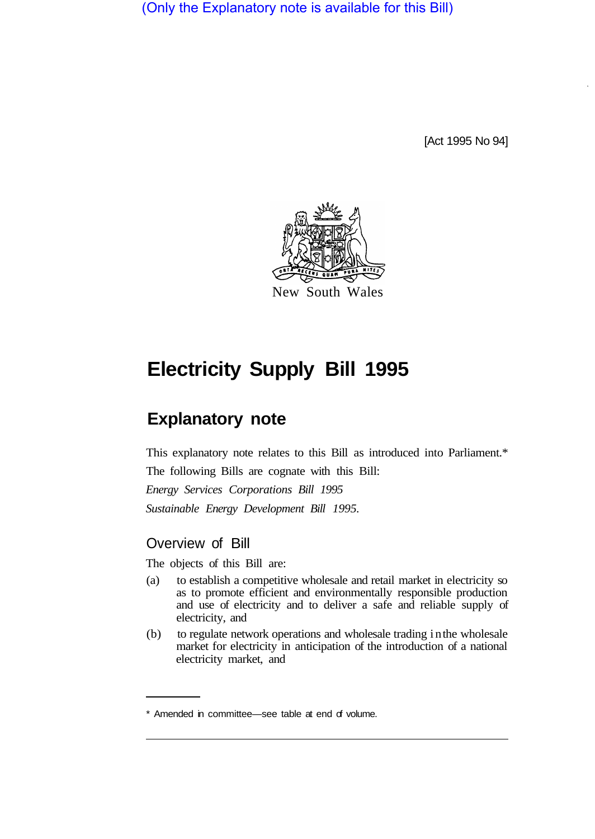(Only the Explanatory note is available for this Bill)

[Act 1995 No 94]



# **Electricity Supply Bill 1995**

## **Explanatory note**

This explanatory note relates to this Bill as introduced into Parliament.\*

The following Bills are cognate with this Bill:

*Energy Services Corporations Bill 1995 Sustainable Energy Development Bill 1995.* 

## Overview of Bill

The objects of this Bill are:

- (a) to establish a competitive wholesale and retail market in electricity so as to promote efficient and environmentally responsible production and use of electricity and to deliver a safe and reliable supply of electricity, and
- (b) to regulate network operations and wholesale trading in the wholesale market for electricity in anticipation of the introduction of a national electricity market, and

<sup>\*</sup> Amended in committee—see table at end of volume.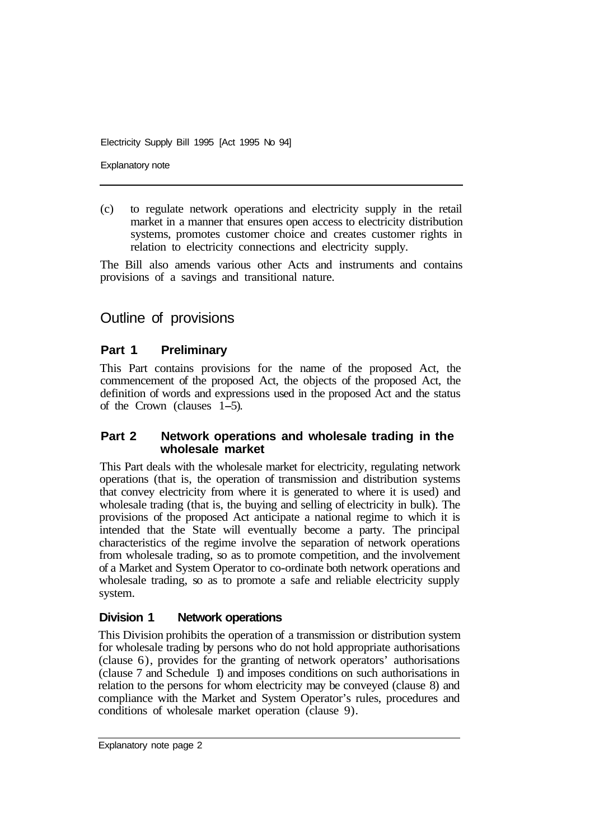Explanatory note

(c) to regulate network operations and electricity supply in the retail market in a manner that ensures open access to electricity distribution systems, promotes customer choice and creates customer rights in relation to electricity connections and electricity supply.

The Bill also amends various other Acts and instruments and contains provisions of a savings and transitional nature.

## Outline of provisions

#### **Part 1 Preliminary**

This Part contains provisions for the name of the proposed Act, the commencement of the proposed Act, the objects of the proposed Act, the definition of words and expressions used in the proposed Act and the status of the Crown (clauses 1-5).

#### **Part 2 Network operations and wholesale trading in the wholesale market**

This Part deals with the wholesale market for electricity, regulating network operations (that is, the operation of transmission and distribution systems that convey electricity from where it is generated to where it is used) and wholesale trading (that is, the buying and selling of electricity in bulk). The provisions of the proposed Act anticipate a national regime to which it is intended that the State will eventually become a party. The principal characteristics of the regime involve the separation of network operations from wholesale trading, so as to promote competition, and the involvement of a Market and System Operator to co-ordinate both network operations and wholesale trading, so as to promote a safe and reliable electricity supply system.

#### **Division 1 Network operations**

This Division prohibits the operation of a transmission or distribution system for wholesale trading by persons who do not hold appropriate authorisations (clause 6), provides for the granting of network operators' authorisations (clause 7 and Schedule 1) and imposes conditions on such authorisations in relation to the persons for whom electricity may be conveyed (clause 8) and compliance with the Market and System Operator's rules, procedures and conditions of wholesale market operation (clause 9).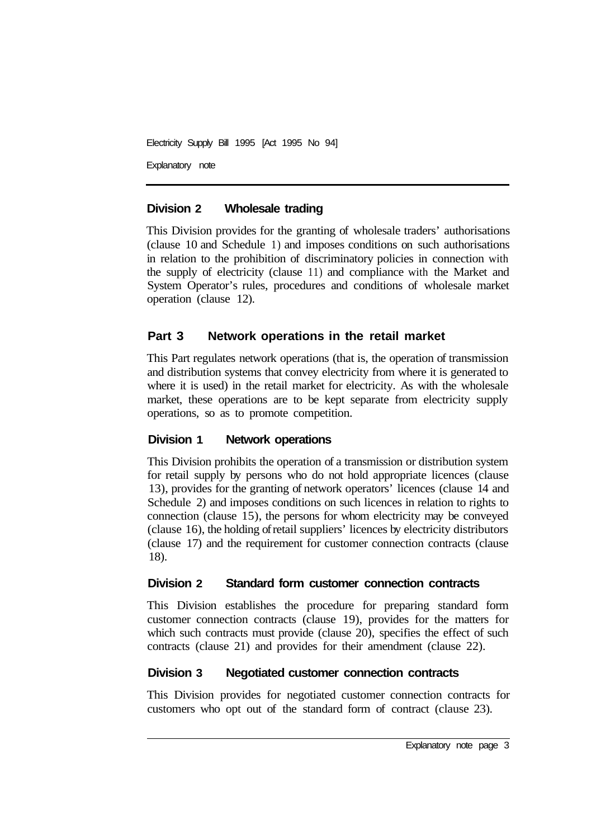Explanatory note

### **Division 2 Wholesale trading**

This Division provides for the granting of wholesale traders' authorisations (clause 10 and Schedule 1) and imposes conditions on such authorisations in relation to the prohibition of discriminatory policies in connection with the supply of electricity (clause 11) and compliance with the Market and System Operator's rules, procedures and conditions of wholesale market operation (clause 12).

## **Part 3 Network operations in the retail market**

This Part regulates network operations (that is, the operation of transmission and distribution systems that convey electricity from where it is generated to where it is used) in the retail market for electricity. As with the wholesale market, these operations are to be kept separate from electricity supply operations, so as to promote competition.

## **Division 1 Network operations**

This Division prohibits the operation of a transmission or distribution system for retail supply by persons who do not hold appropriate licences (clause 13), provides for the granting of network operators' licences (clause 14 and Schedule 2) and imposes conditions on such licences in relation to rights to connection (clause 15), the persons for whom electricity may be conveyed (clause 16), the holding of retail suppliers' licences by electricity distributors (clause 17) and the requirement for customer connection contracts (clause 18).

## **Division 2 Standard form customer connection contracts**

This Division establishes the procedure for preparing standard form customer connection contracts (clause 19), provides for the matters for which such contracts must provide (clause 20), specifies the effect of such contracts (clause 21) and provides for their amendment (clause 22).

## **Division 3 Negotiated customer connection contracts**

This Division provides for negotiated customer connection contracts for customers who opt out of the standard form of contract (clause 23).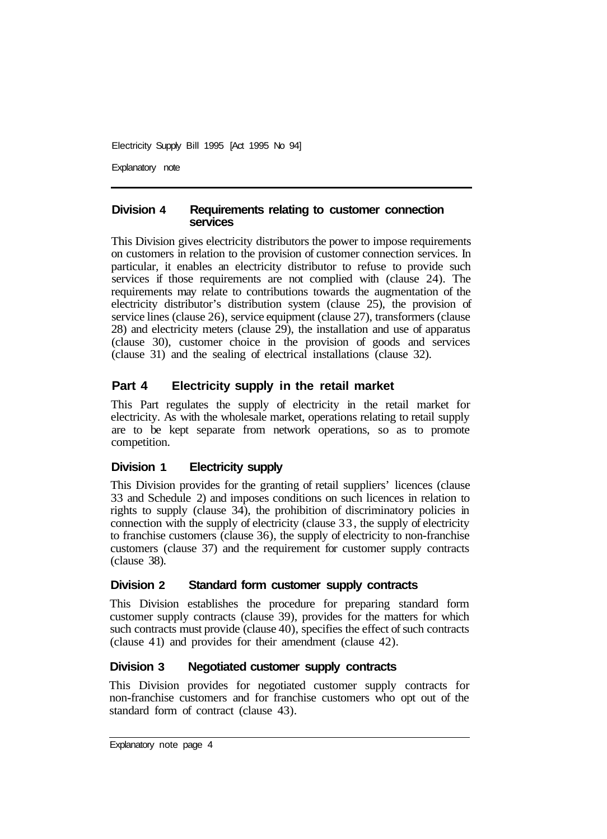Explanatory note

#### **Division 4 Requirements relating to customer connection services**

This Division gives electricity distributors the power to impose requirements on customers in relation to the provision of customer connection services. In particular, it enables an electricity distributor to refuse to provide such services if those requirements are not complied with (clause 24). The requirements may relate to contributions towards the augmentation of the electricity distributor's distribution system (clause 25), the provision of service lines (clause 26), service equipment (clause 27), transformers (clause 28) and electricity meters (clause 29), the installation and use of apparatus (clause 30), customer choice in the provision of goods and services (clause 31) and the sealing of electrical installations (clause 32).

#### **Part 4 Electricity supply in the retail market**

This Part regulates the supply of electricity in the retail market for electricity. As with the wholesale market, operations relating to retail supply are to be kept separate from network operations, so as to promote competition.

#### **Division 1 Electricity supply**

This Division provides for the granting of retail suppliers' licences (clause 33 and Schedule 2) and imposes conditions on such licences in relation to rights to supply (clause 34), the prohibition of discriminatory policies in connection with the supply of electricity (clause 33, the supply of electricity to franchise customers (clause 36), the supply of electricity to non-franchise customers (clause 37) and the requirement for customer supply contracts  $clause$  38).

#### **Division 2 Standard form customer supply contracts**

This Division establishes the procedure for preparing standard form customer supply contracts (clause 39), provides for the matters for which such contracts must provide (clause 40), specifies the effect of such contracts (clause 4 1) and provides for their amendment (clause 42).

#### **Division 3 Negotiated customer supply contracts**

This Division provides for negotiated customer supply contracts for non-franchise customers and for franchise customers who opt out of the standard form of contract (clause 43).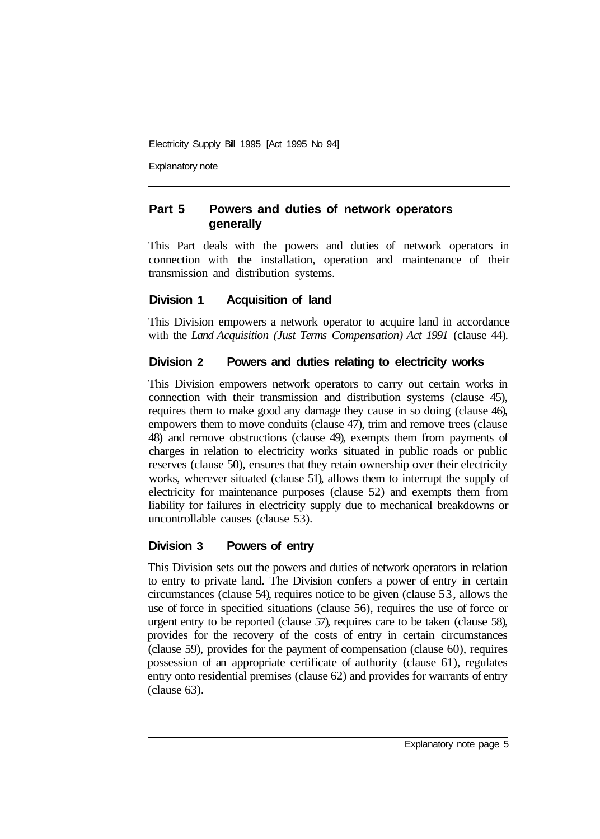Explanatory note

## **Part 5 Powers and duties of network operators generally**

This Part deals with the powers and duties of network operators in connection with the installation, operation and maintenance of their transmission and distribution systems.

#### **Division 1 Acquisition of land**

This Division empowers a network operator to acquire land in accordance with the *Land Acquisition (Just Terms Compensation) Act 1991* (clause 44).

## **Division 2 Powers and duties relating to electricity works**

This Division empowers network operators to carry out certain works in connection with their transmission and distribution systems (clause 45), requires them to make good any damage they cause in so doing (clause 46), empowers them to move conduits (clause 47), trim and remove trees (clause 48) and remove obstructions (clause 49), exempts them from payments of charges in relation to electricity works situated in public roads or public reserves (clause 50), ensures that they retain ownership over their electricity works, wherever situated (clause 51), allows them to interrupt the supply of electricity for maintenance purposes (clause 52) and exempts them from liability for failures in electricity supply due to mechanical breakdowns or uncontrollable causes (clause 53).

## **Division 3 Powers of entry**

This Division sets out the powers and duties of network operators in relation to entry to private land. The Division confers a power of entry in certain circumstances (clause 54), requires notice to be given (clause 53, allows the use of force in specified situations (clause 56), requires the use of force or urgent entry to be reported (clause 57), requires care to be taken (clause 58), provides for the recovery of the costs of entry in certain circumstances (clause 59), provides for the payment of compensation (clause 60), requires possession of an appropriate certificate of authority (clause 61), regulates entry onto residential premises (clause 62) and provides for warrants of entry (clause 63).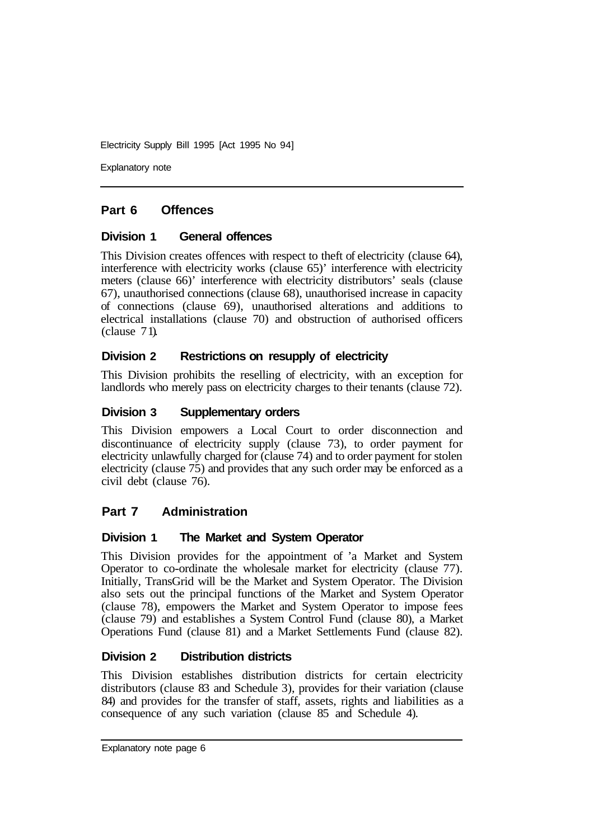Explanatory note

## **Part 6 Offences**

#### **Division 1 General offences**

This Division creates offences with respect to theft of electricity (clause 64), interference with electricity works (clause 65)' interference with electricity meters (clause 66)' interference with electricity distributors' seals (clause 67), unauthorised connections (clause 68), unauthorised increase in capacity of connections (clause 69), unauthorised alterations and additions to electrical installations (clause 70) and obstruction of authorised officers  $clause$  71).

#### **Division 2 Restrictions on resupply of electricity**

This Division prohibits the reselling of electricity, with an exception for landlords who merely pass on electricity charges to their tenants (clause 72).

#### **Division 3 Supplementary orders**

This Division empowers a Local Court to order disconnection and discontinuance of electricity supply (clause 73), to order payment for electricity unlawfully charged for (clause 74) and to order payment for stolen electricity (clause 75) and provides that any such order may be enforced as a civil debt (clause 76).

#### **Part 7 Administration**

#### **Division 1 The Market and System Operator**

This Division provides for the appointment of 'a Market and System Operator to co-ordinate the wholesale market for electricity (clause 77). Initially, TransGrid will be the Market and System Operator. The Division also sets out the principal functions of the Market and System Operator (clause 78), empowers the Market and System Operator to impose fees (clause 79) and establishes a System Control Fund (clause 80), a Market Operations Fund (clause 81) and a Market Settlements Fund (clause 82).

#### **Division 2 Distribution districts**

This Division establishes distribution districts for certain electricity distributors (clause 83 and Schedule 3), provides for their variation (clause 84) and provides for the transfer of staff, assets, rights and liabilities as a consequence of any such variation (clause 85 and Schedule 4).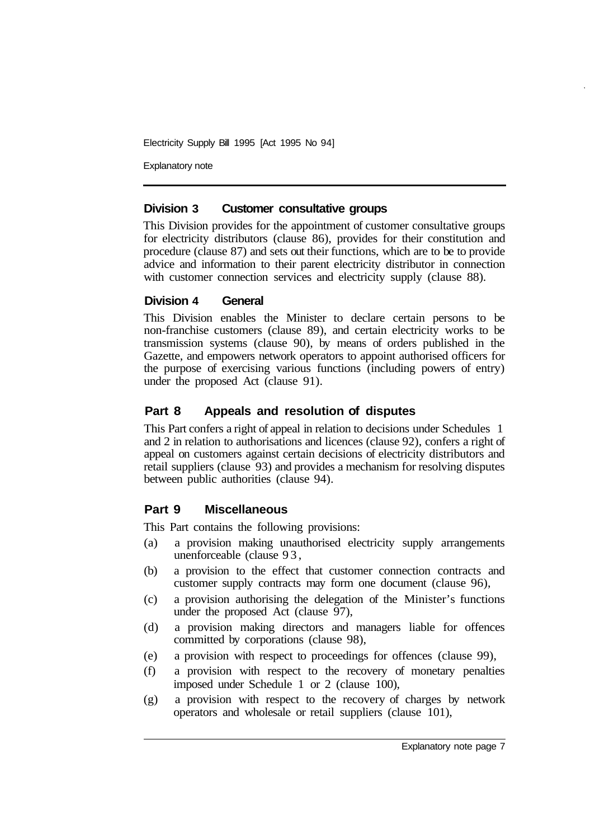Explanatory note

#### **Division 3 Customer consultative groups**

This Division provides for the appointment of customer consultative groups for electricity distributors (clause 86), provides for their constitution and procedure (clause 87) and sets out their functions, which are to be to provide advice and information to their parent electricity distributor in connection with customer connection services and electricity supply (clause 88).

#### **Division 4 General**

This Division enables the Minister to declare certain persons to be non-franchise customers (clause 89), and certain electricity works to be transmission systems (clause 90), by means of orders published in the Gazette, and empowers network operators to appoint authorised officers for the purpose of exercising various functions (including powers of entry) under the proposed Act (clause 91).

#### **Part 8 Appeals and resolution of disputes**

This Part confers a right of appeal in relation to decisions under Schedules 1 and 2 in relation to authorisations and licences (clause 92), confers a right of appeal on customers against certain decisions of electricity distributors and retail suppliers (clause 93) and provides a mechanism for resolving disputes between public authorities (clause 94).

#### **Part 9 Miscellaneous**

This Part contains the following provisions:

- (a) a provision making unauthorised electricity supply arrangements unenforceable (clause 93,
- (b) a provision to the effect that customer connection contracts and customer supply contracts may form one document (clause 96),
- (c) a provision authorising the delegation of the Minister's functions under the proposed Act (clause 97),
- (d) a provision making directors and managers liable for offences committed by corporations (clause 98),
- (e) a provision with respect to proceedings for offences (clause 99),
- (f) a provision with respect to the recovery of monetary penalties imposed under Schedule 1 or 2 (clause 100),
- (g) a provision with respect to the recovery of charges by network operators and wholesale or retail suppliers (clause 101),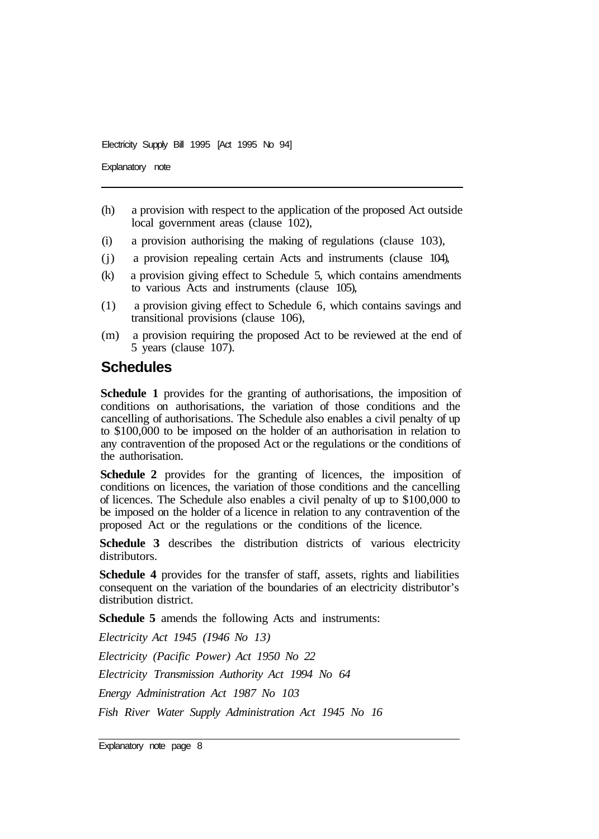Explanatory note

- (h) a provision with respect to the application of the proposed Act outside local government areas (clause 102),
- (i) a provision authorising the making of regulations (clause 103),
- (j) a provision repealing certain Acts and instruments (clause 104),
- (k) a provision giving effect to Schedule 5, which contains amendments to various Acts and instruments (clause 105),
- (1) a provision giving effect to Schedule 6, which contains savings and transitional provisions (clause 106),
- (m) a provision requiring the proposed Act to be reviewed at the end of 5 years (clause 107).

## **Schedules**

**Schedule 1** provides for the granting of authorisations, the imposition of conditions on authorisations, the variation of those conditions and the cancelling of authorisations. The Schedule also enables a civil penalty of up to \$100,000 to be imposed on the holder of an authorisation in relation to any contravention of the proposed Act or the regulations or the conditions of the authorisation.

**Schedule 2** provides for the granting of licences, the imposition of conditions on licences, the variation of those conditions and the cancelling of licences. The Schedule also enables a civil penalty of up to \$100,000 to be imposed on the holder of a licence in relation to any contravention of the proposed Act or the regulations or the conditions of the licence.

**Schedule 3** describes the distribution districts of various electricity distributors.

**Schedule 4** provides for the transfer of staff, assets, rights and liabilities consequent on the variation of the boundaries of an electricity distributor's distribution district.

**Schedule 5** amends the following Acts and instruments:

*Electricity Act 1945 (1946 No 13)* 

*Electricity (Pacific Power) Act 1950 No 22* 

*Electricity Transmission Authority Act 1994 No 64* 

*Energy Administration Act 1987 No 103* 

*Fish River Water Supply Administration Act 1945 No 16* 

Explanatory note page 8